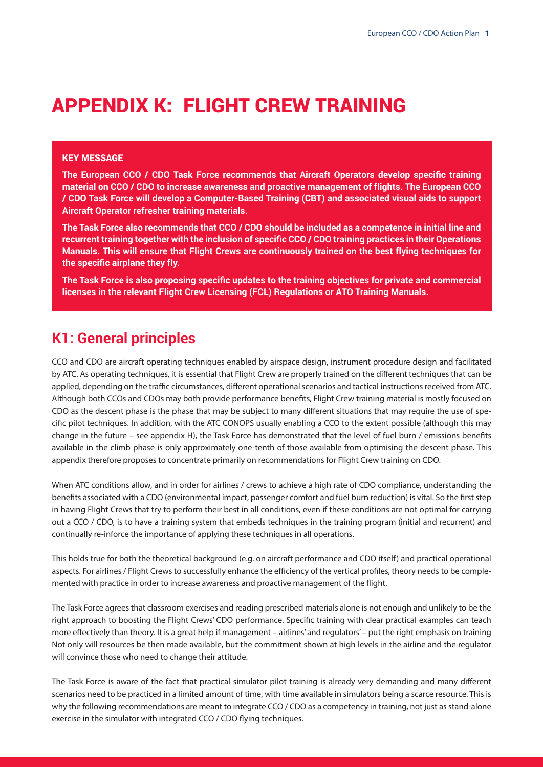# APPENDIX K: FLIGHT CREW TRAINING

#### KEY MESSAGE

**The European CCO / CDO Task Force recommends that Aircraft Operators develop specific training material on CCO / CDO to increase awareness and proactive management of flights. The European CCO / CDO Task Force will develop a Computer-Based Training (CBT) and associated visual aids to support Aircraft Operator refresher training materials.**

**The Task Force also recommends that CCO / CDO should be included as a competence in initial line and recurrent training together with the inclusion of specific CCO / CDO training practices in their Operations Manuals. This will ensure that Flight Crews are continuously trained on the best flying techniques for the specific airplane they fly.**

**The Task Force is also proposing specific updates to the training objectives for private and commercial licenses in the relevant Flight Crew Licensing (FCL) Regulations or ATO Training Manuals.**

### **K1: General principles**

CCO and CDO are aircraft operating techniques enabled by airspace design, instrument procedure design and facilitated by ATC. As operating techniques, it is essential that Flight Crew are properly trained on the different techniques that can be applied, depending on the traffic circumstances, different operational scenarios and tactical instructions received from ATC. Although both CCOs and CDOs may both provide performance benefits, Flight Crew training material is mostly focused on CDO as the descent phase is the phase that may be subject to many different situations that may require the use of specific pilot techniques. In addition, with the ATC CONOPS usually enabling a CCO to the extent possible (although this may change in the future – see appendix H), the Task Force has demonstrated that the level of fuel burn / emissions benefits available in the climb phase is only approximately one-tenth of those available from optimising the descent phase. This appendix therefore proposes to concentrate primarily on recommendations for Flight Crew training on CDO.

When ATC conditions allow, and in order for airlines / crews to achieve a high rate of CDO compliance, understanding the benefits associated with a CDO (environmental impact, passenger comfort and fuel burn reduction) is vital. So the first step in having Flight Crews that try to perform their best in all conditions, even if these conditions are not optimal for carrying out a CCO / CDO, is to have a training system that embeds techniques in the training program (initial and recurrent) and continually re-inforce the importance of applying these techniques in all operations.

This holds true for both the theoretical background (e.g. on aircraft performance and CDO itself) and practical operational aspects. For airlines / Flight Crews to successfully enhance the efficiency of the vertical profiles, theory needs to be complemented with practice in order to increase awareness and proactive management of the flight.

The Task Force agrees that classroom exercises and reading prescribed materials alone is not enough and unlikely to be the right approach to boosting the Flight Crews' CDO performance. Specific training with clear practical examples can teach more effectively than theory. It is a great help if management – airlines' and regulators' – put the right emphasis on training Not only will resources be then made available, but the commitment shown at high levels in the airline and the regulator will convince those who need to change their attitude.

The Task Force is aware of the fact that practical simulator pilot training is already very demanding and many different scenarios need to be practiced in a limited amount of time, with time available in simulators being a scarce resource. This is why the following recommendations are meant to integrate CCO / CDO as a competency in training, not just as stand-alone exercise in the simulator with integrated CCO / CDO flying techniques.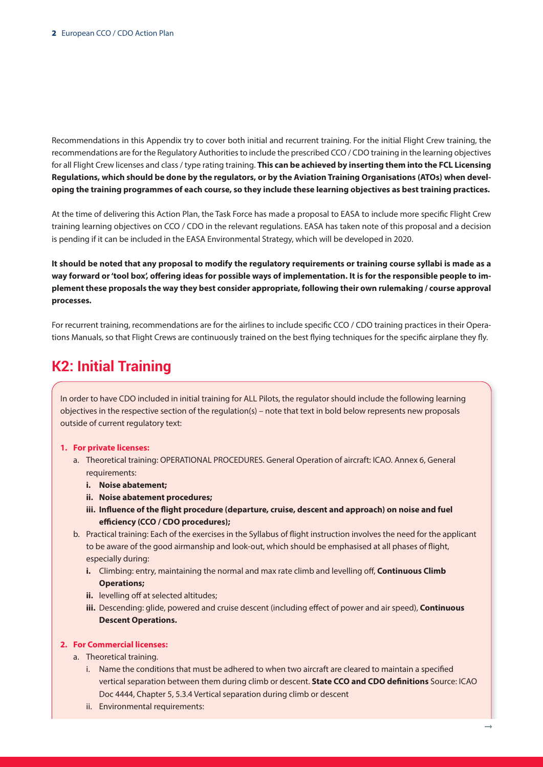Recommendations in this Appendix try to cover both initial and recurrent training. For the initial Flight Crew training, the recommendations are for the Regulatory Authorities to include the prescribed CCO / CDO training in the learning objectives for all Flight Crew licenses and class / type rating training. **This can be achieved by inserting them into the FCL Licensing Regulations, which should be done by the regulators, or by the Aviation Training Organisations (ATOs) when developing the training programmes of each course, so they include these learning objectives as best training practices.** 

At the time of delivering this Action Plan, the Task Force has made a proposal to EASA to include more specific Flight Crew training learning objectives on CCO / CDO in the relevant regulations. EASA has taken note of this proposal and a decision is pending if it can be included in the EASA Environmental Strategy, which will be developed in 2020.

**It should be noted that any proposal to modify the regulatory requirements or training course syllabi is made as a way forward or 'tool box', offering ideas for possible ways of implementation. It is for the responsible people to implement these proposals the way they best consider appropriate, following their own rulemaking / course approval processes.**

For recurrent training, recommendations are for the airlines to include specific CCO / CDO training practices in their Operations Manuals, so that Flight Crews are continuously trained on the best flying techniques for the specific airplane they fly.

## **K2: Initial Training**

In order to have CDO included in initial training for ALL Pilots, the regulator should include the following learning objectives in the respective section of the regulation(s) – note that text in bold below represents new proposals outside of current regulatory text:

#### **1. For private licenses:**

- a. Theoretical training: OPERATIONAL PROCEDURES. General Operation of aircraft: ICAO. Annex 6, General requirements:
	- **i. Noise abatement;**
	- **ii. Noise abatement procedures;**
	- **iii. Influence of the flight procedure (departure, cruise, descent and approach) on noise and fuel efficiency (CCO / CDO procedures);**
- b. Practical training: Each of the exercises in the Syllabus of flight instruction involves the need for the applicant to be aware of the good airmanship and look-out, which should be emphasised at all phases of flight, especially during:
	- **i.** Climbing: entry, maintaining the normal and max rate climb and levelling off, **Continuous Climb Operations;**
	- **ii.** levelling off at selected altitudes:
	- **iii.** Descending: glide, powered and cruise descent (including effect of power and air speed), **Continuous Descent Operations.**

### **2. For Commercial licenses:**

- a. Theoretical training.
	- i. Name the conditions that must be adhered to when two aircraft are cleared to maintain a specified vertical separation between them during climb or descent. **State CCO and CDO definitions** Source: ICAO Doc 4444, Chapter 5, 5.3.4 Vertical separation during climb or descent
	- ii. Environmental requirements: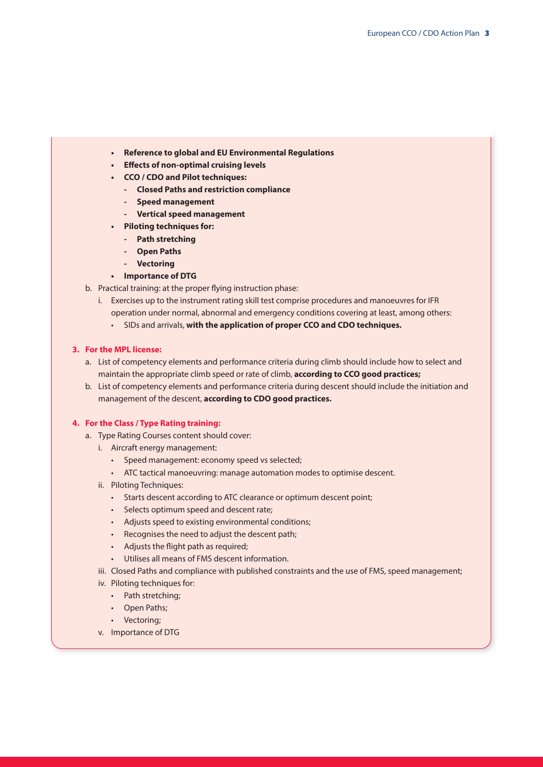- **• Reference to global and EU Environmental Regulations**
- **• Effects of non-optimal cruising levels**
- **• CCO / CDO and Pilot techniques:**
	- **- Closed Paths and restriction compliance**
	- **- Speed management**
	- **- Vertical speed management**
- **• Piloting techniques for:**
	- **- Path stretching**
	- **- Open Paths**
	- **- Vectoring**

#### **• Importance of DTG**

- b. Practical training: at the proper flying instruction phase:
	- i. Exercises up to the instrument rating skill test comprise procedures and manoeuvres for IFR operation under normal, abnormal and emergency conditions covering at least, among others:
		- SIDs and arrivals, **with the application of proper CCO and CDO techniques.**

#### **3. For the MPL license:**

- a. List of competency elements and performance criteria during climb should include how to select and maintain the appropriate climb speed or rate of climb, **according to CCO good practices;**
- b. List of competency elements and performance criteria during descent should include the initiation and management of the descent, **according to CDO good practices.**

### **4. For the Class / Type Rating training:**

- a. Type Rating Courses content should cover:
	- i. Aircraft energy management:
		- Speed management: economy speed vs selected;
		- ATC tactical manoeuvring: manage automation modes to optimise descent.
	- ii. Piloting Techniques:
		- Starts descent according to ATC clearance or optimum descent point;
		- Selects optimum speed and descent rate;
		- Adjusts speed to existing environmental conditions;
		- Recognises the need to adjust the descent path;
		- Adjusts the flight path as required;
		- Utilises all means of FMS descent information.
	- iii. Closed Paths and compliance with published constraints and the use of FMS, speed management;
	- iv. Piloting techniques for:
		- Path stretching:
		- Open Paths;
		- Vectoring;
	- v. Importance of DTG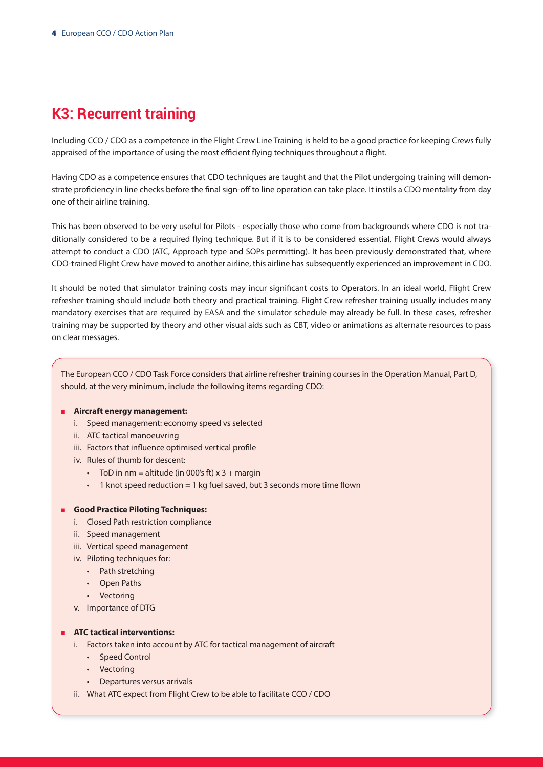# **K3: Recurrent training**

Including CCO / CDO as a competence in the Flight Crew Line Training is held to be a good practice for keeping Crews fully appraised of the importance of using the most efficient flying techniques throughout a flight.

Having CDO as a competence ensures that CDO techniques are taught and that the Pilot undergoing training will demonstrate proficiency in line checks before the final sign-off to line operation can take place. It instils a CDO mentality from day one of their airline training.

This has been observed to be very useful for Pilots - especially those who come from backgrounds where CDO is not traditionally considered to be a required flying technique. But if it is to be considered essential, Flight Crews would always attempt to conduct a CDO (ATC, Approach type and SOPs permitting). It has been previously demonstrated that, where CDO-trained Flight Crew have moved to another airline, this airline has subsequently experienced an improvement in CDO.

It should be noted that simulator training costs may incur significant costs to Operators. In an ideal world, Flight Crew refresher training should include both theory and practical training. Flight Crew refresher training usually includes many mandatory exercises that are required by EASA and the simulator schedule may already be full. In these cases, refresher training may be supported by theory and other visual aids such as CBT, video or animations as alternate resources to pass on clear messages.

The European CCO / CDO Task Force considers that airline refresher training courses in the Operation Manual, Part D, should, at the very minimum, include the following items regarding CDO:

#### **n** Aircraft energy management:

- i. Speed management: economy speed vs selected
- ii. ATC tactical manoeuvring
- iii. Factors that influence optimised vertical profile
- iv. Rules of thumb for descent:
	- ToD in nm = altitude (in 000's ft)  $x$  3 + margin
	- 1 knot speed reduction = 1 kg fuel saved, but 3 seconds more time flown

#### <sup>n</sup> **Good Practice Piloting Techniques:**

- i. Closed Path restriction compliance
- ii. Speed management
- iii. Vertical speed management
- iv. Piloting techniques for:
	- Path stretching
	- Open Paths
	- Vectoring
- v. Importance of DTG

#### **n ATC** tactical interventions:

- i. Factors taken into account by ATC for tactical management of aircraft
	- Speed Control
	- Vectoring
	- Departures versus arrivals
- ii. What ATC expect from Flight Crew to be able to facilitate CCO / CDO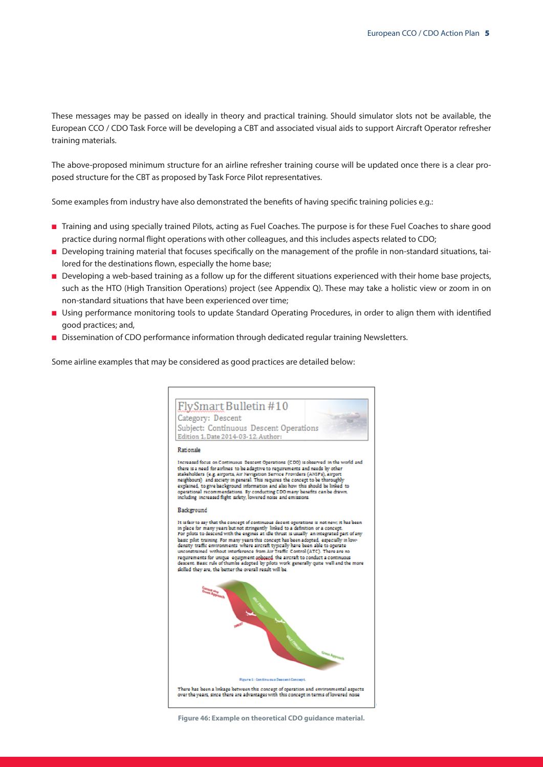These messages may be passed on ideally in theory and practical training. Should simulator slots not be available, the European CCO / CDO Task Force will be developing a CBT and associated visual aids to support Aircraft Operator refresher training materials.

The above-proposed minimum structure for an airline refresher training course will be updated once there is a clear proposed structure for the CBT as proposed by Task Force Pilot representatives.

Some examples from industry have also demonstrated the benefits of having specific training policies e.g.:

- n Training and using specially trained Pilots, acting as Fuel Coaches. The purpose is for these Fuel Coaches to share good practice during normal flight operations with other colleagues, and this includes aspects related to CDO;
- n Developing training material that focuses specifically on the management of the profile in non-standard situations, tailored for the destinations flown, especially the home base;
- n Developing a web-based training as a follow up for the different situations experienced with their home base projects, such as the HTO (High Transition Operations) project (see Appendix Q). These may take a holistic view or zoom in on non-standard situations that have been experienced over time;
- n Using performance monitoring tools to update Standard Operating Procedures, in order to align them with identified good practices; and,
- **Dissemination of CDO performance information through dedicated regular training Newsletters.**

Some airline examples that may be considered as good practices are detailed below:



**Figure 46: Example on theoretical CDO guidance material.**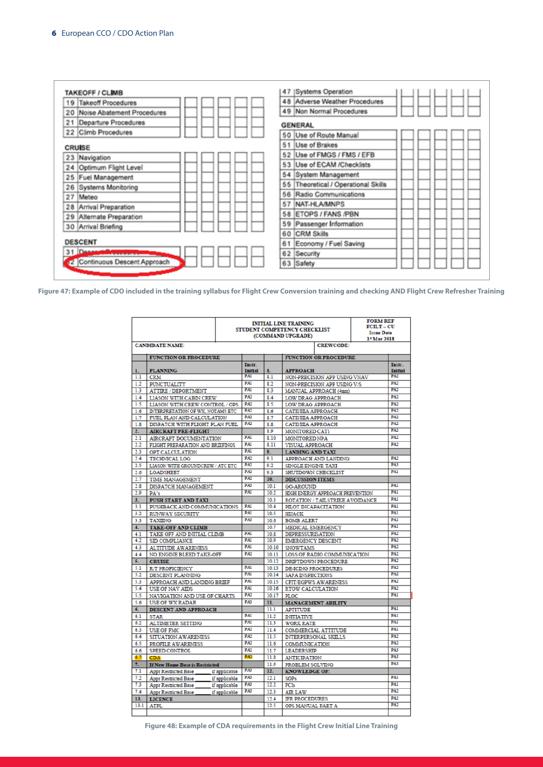| <b>TAKEOFF / CLIMB</b>          | <b>Systems Operation</b><br>47         |
|---------------------------------|----------------------------------------|
| <b>Takeoff Procedures</b><br>19 | 48 Adverse Weather Procedures          |
| 20 Noise Abatement Procedures   | 49 Non Normal Procedures               |
| 21<br>Departure Procedures      | <b>GENERAL</b>                         |
| 22 Climb Procedures             | 50 Use of Route Manual                 |
| <b>CRUISE</b>                   | 51 Use of Brakes                       |
| 23 Navigation                   | 52 Use of FMGS / FMS / EFB             |
| Optimum Flight Level<br>24      | Use of ECAM /Checklists<br>53          |
| 25<br><b>Fuel Management</b>    | 54 System Management                   |
| 26 Systems Monitoring           | Theoretical / Operational Skills<br>55 |
| 27<br>Meteo                     | Radio Communications<br>56             |
| 28 Arrival Preparation          | NAT-HLA/MNPS<br>57                     |
| 29 Alternate Preparation        | <b>ETOPS / FANS /PBN</b><br>58         |
| 30 Arrival Briefing             | Passenger Information<br>59            |
|                                 | 60<br><b>CRM Skills</b>                |
| <b>DESCENT</b>                  | Economy / Fuel Saving<br>61            |
| 31 Desa                         | 62 Security                            |
| 2 Continuous Descent Approach   | 63 Safety                              |

**Figure 47: Example of CDO included in the training syllabus for Flight Crew Conversion training and checking AND Flight Crew Refresher Training**

|                  | <b>INITIAL LINE TRAINING</b><br>STUDENT COMPETENCY CHECKLIST<br>(COMMAND UPGRADE) |               |                          |                |                                                    |                              | <b>FORM REF</b><br><b>FCILT-CU</b><br><b>Issue Date</b><br>1 <sup>*</sup> Mar 2018 |                          |
|------------------|-----------------------------------------------------------------------------------|---------------|--------------------------|----------------|----------------------------------------------------|------------------------------|------------------------------------------------------------------------------------|--------------------------|
|                  | <b>CANDIDATE NAME:</b>                                                            |               |                          |                |                                                    | <b>CREWCODE:</b>             |                                                                                    |                          |
|                  | <b>FUNCTION OR PROCEDURE</b>                                                      |               |                          |                |                                                    | <b>FUNCTION OR PROCEDURE</b> |                                                                                    |                          |
|                  |                                                                                   |               | Instr.<br><b>Initial</b> | 8.             |                                                    |                              |                                                                                    | Instr.                   |
| 1.<br>1.1        | <b>PLANNING</b><br><b>CRM</b>                                                     |               | PAI                      | 8.1            | <b>APPROACH</b><br>NON-PRECISION APP USING VNAV    |                              | <b>Initial</b><br><b>PA2</b>                                                       |                          |
| 1.2              | <b>PUNCTUALITY</b>                                                                |               | <b>PA1</b>               | 8.2            | NON-PRECISION APP USING V/S                        |                              |                                                                                    | <b>PA2</b>               |
| 1.3              | <b>ATTIRE / DEPORTMENT</b>                                                        |               | PAI                      | 83             | MANUAL APPROACH (4nm)                              |                              |                                                                                    | PA?                      |
| 1.4              | <b>LIASON WITH CABIN CREW</b>                                                     |               | PA2                      | 8.4            | LOW DRAG APPROACH                                  |                              |                                                                                    | <b>PA2</b>               |
| 1.5              | LIASON WITH CREW CONTROL / OPS                                                    |               | PA2                      | 8.5            | LOW DRAG APPROACH                                  |                              |                                                                                    | <b>PA2</b>               |
| 1.6              | INTERPRETATION OF WX, NOTAMS ETC                                                  |               | PA2                      | 8.6            | САТІИПА АРРКОАСН                                   |                              |                                                                                    | <b>PA2</b>               |
| 1.7              | FUEL PLAN AND CALCULATION                                                         |               | PA2                      | 8.7            | САТІИПА АРРКОАСН                                   |                              |                                                                                    | <b>PA2</b>               |
| 1.8              | DISPATCH WITH FLIGHT PLAN FUEL                                                    |               | PA2                      | 8.8            | САТІИПА АРРЕОАСН                                   |                              | <b>PA2</b>                                                                         |                          |
| $\overline{2}$ . | <b>AIRCRAFT PRE-FLIGHT</b>                                                        |               |                          | 80             | <b>MONITORED CAT1</b>                              |                              | <b>PA2</b>                                                                         |                          |
| 2.1              | <b>AIRCRAFT DOCUMENTATION</b>                                                     |               | <b>PA1</b>               | 8.10           | <b>MONITORED NPA</b>                               |                              | <b>PA2</b>                                                                         |                          |
| 2.2              | FLIGHT PREPARATION AND BRIEFINGS                                                  |               | <b>PA1</b>               | 811            | <b>VISUAL APPROACH</b>                             |                              | <b>PA2</b>                                                                         |                          |
| 23               | OPT CALCULATION                                                                   |               | PAI                      | $\bullet$      | <b>LANDING AND TAXI</b>                            |                              |                                                                                    |                          |
| 2.4              | <b>TECHNICAL LOG</b>                                                              |               | PA2                      | 0 <sub>1</sub> | APPROACH AND LANDING                               |                              | <b>PA2</b>                                                                         |                          |
| 2.5              | LIASON WITH GROUNDCREW / ATC ETC                                                  |               | <b>PA2</b>               | 9.2            | <b>SINGLE ENGINE TAXI</b>                          |                              |                                                                                    | PA3                      |
| 2.6              | <b>LOADSHEET</b>                                                                  |               | <b>PA2</b>               | 93             | SHUTDOWN CHECKLIST                                 |                              | PA1                                                                                |                          |
| 2.7              | TIME MANAGEMENT                                                                   |               | PA2                      | 10             | <b>DISCUSSION ITEMS</b>                            |                              |                                                                                    |                          |
| 2.8              | DISPATCH MANAGEMENT                                                               |               | PA3                      | 10.1           | <b>GO-AROUND</b>                                   |                              |                                                                                    | PA1                      |
| 2.9              | PA's                                                                              |               | <b>PA1</b>               | 10.2           | HIGH ENERGY APPROACH PREVENTION                    |                              |                                                                                    | PA1                      |
| 3.               | PUSH START AND TAXI                                                               |               |                          | 10.3           | ROTATION / TAILSTRIKE AVOIDANCE                    |                              | PA1                                                                                |                          |
| 3.1              | PUSHBACK AND COMMUNICATIONS                                                       |               | PA1                      | 104            | PILOT INCAPACITATION                               |                              | PA1                                                                                |                          |
| 3.2              | <b>RUNWAY SECURITY</b>                                                            |               | PAI                      | 10.5           | <b>HIJACK</b>                                      |                              |                                                                                    | <b>PA1</b>               |
| 33               | <b>TAXIING</b>                                                                    |               | <b>PA3</b>               | 10.6           | <b>BOMB ALERT</b>                                  |                              | PA1                                                                                |                          |
| 4.               | <b>TAKE-OFF AND CLIMB</b>                                                         |               |                          | 10.7           | MEDICAL EMERGENCY                                  |                              |                                                                                    | <b>PA1</b>               |
| 4.1              | TAKE OFF AND INITIAL CLIMB                                                        |               | PAI                      | 10.8           | <b>DEPRESSURISATION</b>                            |                              | <b>PA2</b>                                                                         |                          |
| 42               | <b>SID COMPLIANCE</b>                                                             |               | PA1                      | 109            | <b>EMERGENCY DESCENT</b>                           |                              | <b>PA2</b><br><b>PA2</b>                                                           |                          |
| 4.3              | <b>ALTITUDE AWARENESS</b>                                                         |               | PAI                      | 1010           | <b>SNOWTAMS</b>                                    |                              |                                                                                    |                          |
| 4.4              | NO ENGINE BLEED TAKE-OFF                                                          |               | <b>PA2</b>               | 10.11          |                                                    | LOSS OF RADIO COMMUNICATION  |                                                                                    | <b>PA2</b><br><b>PA2</b> |
| 5.               | <b>CRUISE</b>                                                                     |               |                          | 10.12          |                                                    | DRIFTDOWN PROCEDURE          |                                                                                    |                          |
| 5.1              | <b>R/T PROFICIENCY</b>                                                            |               | PA1<br>PAI               | 10.13          | <b>DE-ICING PROCEDURES</b>                         |                              |                                                                                    | <b>PA2</b><br><b>PA2</b> |
| 5.2              | DESCENT PLANNING                                                                  |               | <b>PA1</b>               | 10.14          | <b>SAFA INSPECTIONS</b>                            |                              | <b>PA2</b>                                                                         |                          |
| 53               | APPROACH AND LANDING BRIEF                                                        |               | PAI                      | 10.15          |                                                    | <b>CFIT/EGPWS AWARENESS</b>  |                                                                                    | PA2                      |
| 5.4              | <b>USE OF NAV AIDS</b>                                                            |               | PA2                      | 10.16          | RTOW CALCULATION                                   |                              |                                                                                    | PAI                      |
| 5.5              | NAVIGATION AND USE OF CHARTS                                                      |               | PA3                      | 10.17          | PLOC                                               |                              |                                                                                    |                          |
| 5.6              | <b>USE OF WX RADAR</b>                                                            |               |                          | 11.<br>11.1    |                                                    | <b>MANAGEMENT ABILITY</b>    |                                                                                    | PAI                      |
| б.<br>6.1        | DESCENT AND APPROACH                                                              |               | <b>PA1</b>               | 11.2           | <b>APTITUDE</b>                                    |                              |                                                                                    | PA1                      |
| 6.2              | <b>STAR</b>                                                                       |               | PAI                      | 11.3           | <b>INITIATIVE</b>                                  |                              |                                                                                    | <b>PAI</b>               |
| 63               | ALTIMETER SETTING<br><b>USE OF FMC</b>                                            |               | PA2                      | 11.4           | <b>WORK RATE</b>                                   |                              |                                                                                    | PA1                      |
| 6.4              | SITUATION AWARENESS                                                               |               | PA2                      | 11.5           | COMMERCIAL ATTITUDE<br><b>INTERPERSONAL SKILLS</b> |                              | PA2                                                                                |                          |
| 6.5              | PROFILE AWARENESS                                                                 |               | PA2                      | 11.6           | <b>COMMUNICATION</b>                               |                              | <b>PA2</b>                                                                         |                          |
| 6.6              | <b>SPEED CONTROL</b>                                                              |               | PA <sub>2</sub>          | 11.7           | <b>LEADERSHIP</b>                                  |                              |                                                                                    | PA3                      |
| 6.7              | <b>CDA</b>                                                                        |               | PA2                      | 11.8           | <b>ANTICIPATION</b>                                |                              |                                                                                    | PA3                      |
| 7.               | If New Home Base is Restricted                                                    |               |                          | 11.9           | PROBLEM SOLVING                                    |                              | PA3                                                                                |                          |
| 7.1              | <b>Appr Restricted Base</b>                                                       | if applicable | PA3                      | 12.            | <b>KNOWLEDGE OF:</b>                               |                              |                                                                                    |                          |
| 7.2              | <b>Appr Restricted Base</b>                                                       | if applicable | PA3                      | 12.1           | <b>SOPs</b>                                        |                              |                                                                                    | PA1                      |
| 7.3              | <b>Appr Restricted Base</b>                                                       | if applicable | PA3                      | 12.2           | <b>FCIs</b>                                        |                              |                                                                                    | PA1                      |
| 7.4              | <b>Appr Restricted Base</b>                                                       | if applicable | PA3                      | 12.3           | <b>AIR LAW</b>                                     |                              |                                                                                    | <b>PA2</b>               |
| 13.              | <b>LICENCE</b>                                                                    |               |                          | 12.4           | <b>IFR PROCEDURES</b>                              |                              |                                                                                    | PA?                      |
| 13.1             | <b>ATPL</b>                                                                       |               |                          | 12.5           | OPS MANUAL PART A                                  |                              |                                                                                    | PA2                      |
|                  |                                                                                   |               |                          |                |                                                    |                              |                                                                                    |                          |

**Figure 48: Example of CDA requirements in the Flight Crew Initial Line Training**